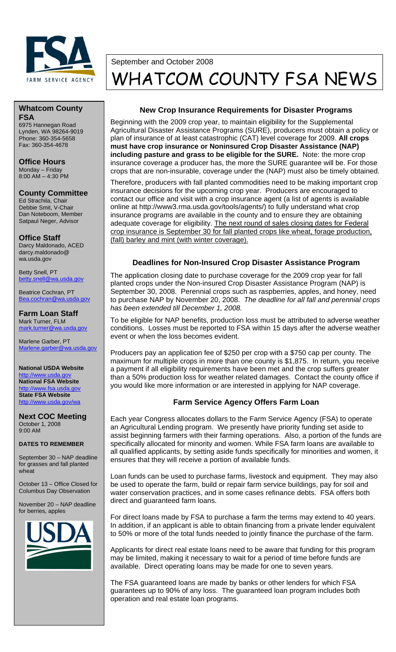

# September and October 2008 WHATCOM COUNTY FSA NEWS

#### **Whatcom County FSA**  6975 Hannegan Road

Lynden, WA 98264-9019 Phone: 360-354-5658 Fax: 360-354-4678

**Office Hours**  Monday – Friday 8:00 AM – 4:30 PM

**County Committee**  Ed Strachila, Chair Debbie Smit, V-Chair Dan Noteboom, Member Satpaul Neger, Advisor

**Office Staff**  Darcy Maldonado, ACED darcy.maldonado@ wa.usda.gov

Betty Snell, PT betty.snell@wa.usda.gov

Beatrice Cochran, PT Bea.cochran@wa.usda.gov

**Farm Loan Staff**  Mark Turner, FLM mark.turner@wa.usda.gov

Marlene Garber, PT Marlene.garber@wa.usda.gov

**National USDA Website**  http://www.usd **National FSA Website**  http://www.fsa.usda.gov **State FSA Website**  http://www.usda.gov/wa

**Next COC Meeting**  October 1, 2008 9:00 AM

#### **DATES TO REMEMBER**

September 30 – NAP deadline for grasses and fall planted wheat

October 13 – Office Closed for Columbus Day Observation

November 20 – NAP deadline for berries, apples



### **New Crop Insurance Requirements for Disaster Programs**

Beginning with the 2009 crop year, to maintain eligibility for the Supplemental Agricultural Disaster Assistance Programs (SURE), producers must obtain a policy or plan of insurance of at least catastrophic (CAT) level coverage for 2009. **All crops must have crop insurance or Noninsured Crop Disaster Assistance (NAP) including pasture and grass to be eligible for the SURE.** Note: the more crop insurance coverage a producer has, the more the SURE guarantee will be. For those crops that are non-insurable, coverage under the (NAP) must also be timely obtained.

Therefore, producers with fall planted commodities need to be making important crop insurance decisions for the upcoming crop year. Producers are encouraged to contact our office and visit with a crop insurance agent (a list of agents is available online at http://www3.rma.usda.gov/tools/agents/) to fully understand what crop insurance programs are available in the county and to ensure they are obtaining adequate coverage for eligibility. The next round of sales closing dates for Federal crop insurance is September 30 for fall planted crops like wheat, forage production, (fall) barley and mint (with winter coverage).

# **Deadlines for Non-Insured Crop Disaster Assistance Program**

The application closing date to purchase coverage for the 2009 crop year for fall planted crops under the Non-insured Crop Disaster Assistance Program (NAP) is September 30, 2008. Perennial crops such as raspberries, apples, and honey, need to purchase NAP by November 20, 2008. *The deadline for all fall and perennial crops has been extended till December 1, 2008.*

To be eligible for NAP benefits, production loss must be attributed to adverse weather conditions. Losses must be reported to FSA within 15 days after the adverse weather event or when the loss becomes evident.

Producers pay an application fee of \$250 per crop with a \$750 cap per county. The maximum for multiple crops in more than one county is \$1,875. In return, you receive a payment if all eligibility requirements have been met and the crop suffers greater than a 50% production loss for weather related damages. Contact the county office if you would like more information or are interested in applying for NAP coverage.

# **Farm Service Agency Offers Farm Loan**

Each year Congress allocates dollars to the Farm Service Agency (FSA) to operate an Agricultural Lending program. We presently have priority funding set aside to assist beginning farmers with their farming operations. Also, a portion of the funds are specifically allocated for minority and women. While FSA farm loans are available to all qualified applicants, by setting aside funds specifically for minorities and women, it ensures that they will receive a portion of available funds.

Loan funds can be used to purchase farms, livestock and equipment. They may also be used to operate the farm, build or repair farm service buildings, pay for soil and water conservation practices, and in some cases refinance debts. FSA offers both direct and guaranteed farm loans.

For direct loans made by FSA to purchase a farm the terms may extend to 40 years. In addition, if an applicant is able to obtain financing from a private lender equivalent to 50% or more of the total funds needed to jointly finance the purchase of the farm.

Applicants for direct real estate loans need to be aware that funding for this program may be limited, making it necessary to wait for a period of time before funds are available. Direct operating loans may be made for one to seven years.

The FSA guaranteed loans are made by banks or other lenders for which FSA guarantees up to 90% of any loss. The guaranteed loan program includes both operation and real estate loan programs.